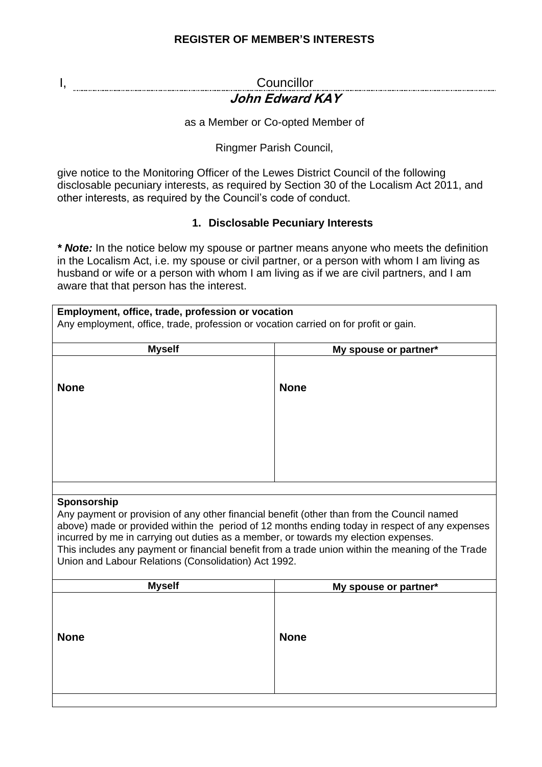# **REGISTER OF MEMBER'S INTERESTS**

#### I, Councillor **John Edward KAY**

as a Member or Co-opted Member of

Ringmer Parish Council,

give notice to the Monitoring Officer of the Lewes District Council of the following disclosable pecuniary interests, as required by Section 30 of the Localism Act 2011, and other interests, as required by the Council's code of conduct.

## **1. Disclosable Pecuniary Interests**

*\* Note:* In the notice below my spouse or partner means anyone who meets the definition in the Localism Act, i.e. my spouse or civil partner, or a person with whom I am living as husband or wife or a person with whom I am living as if we are civil partners, and I am aware that that person has the interest.

| Employment, office, trade, profession or vocation                                                                                                                                            |                       |  |
|----------------------------------------------------------------------------------------------------------------------------------------------------------------------------------------------|-----------------------|--|
| Any employment, office, trade, profession or vocation carried on for profit or gain.                                                                                                         |                       |  |
| <b>Myself</b>                                                                                                                                                                                | My spouse or partner* |  |
|                                                                                                                                                                                              |                       |  |
| <b>None</b>                                                                                                                                                                                  | <b>None</b>           |  |
|                                                                                                                                                                                              |                       |  |
|                                                                                                                                                                                              |                       |  |
|                                                                                                                                                                                              |                       |  |
|                                                                                                                                                                                              |                       |  |
|                                                                                                                                                                                              |                       |  |
|                                                                                                                                                                                              |                       |  |
|                                                                                                                                                                                              |                       |  |
| Sponsorship                                                                                                                                                                                  |                       |  |
| Any payment or provision of any other financial benefit (other than from the Council named<br>above) made or provided within the period of 12 months ending today in respect of any expenses |                       |  |
| incurred by me in carrying out duties as a member, or towards my election expenses.                                                                                                          |                       |  |
| This includes any payment or financial benefit from a trade union within the meaning of the Trade                                                                                            |                       |  |
| Union and Labour Relations (Consolidation) Act 1992.                                                                                                                                         |                       |  |
| <b>Myself</b>                                                                                                                                                                                | My spouse or partner* |  |
|                                                                                                                                                                                              |                       |  |
|                                                                                                                                                                                              |                       |  |
| <b>None</b>                                                                                                                                                                                  | <b>None</b>           |  |
|                                                                                                                                                                                              |                       |  |
|                                                                                                                                                                                              |                       |  |
|                                                                                                                                                                                              |                       |  |
|                                                                                                                                                                                              |                       |  |
|                                                                                                                                                                                              |                       |  |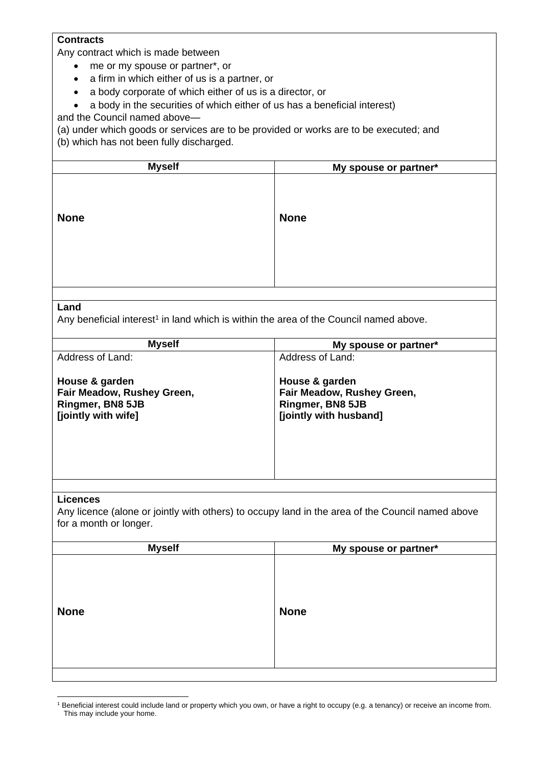# **Contracts**

Any contract which is made between

- me or my spouse or partner\*, or
- a firm in which either of us is a partner, or
- a body corporate of which either of us is a director, or
- a body in the securities of which either of us has a beneficial interest)

and the Council named above—

(a) under which goods or services are to be provided or works are to be executed; and (b) which has not been fully discharged.

| <b>Myself</b> | My spouse or partner* |
|---------------|-----------------------|
| <b>None</b>   | <b>None</b>           |
|               |                       |

#### **Land**

Any beneficial interest<sup>1</sup> in land which is within the area of the Council named above.

| Address of Land:<br>Address of Land:<br>House & garden<br>House & garden<br>Fair Meadow, Rushey Green,<br>Fair Meadow, Rushey Green,<br>Ringmer, BN8 5JB<br>Ringmer, BN8 5JB<br>[jointly with wife]<br>[jointly with husband] | <b>Myself</b> | My spouse or partner* |
|-------------------------------------------------------------------------------------------------------------------------------------------------------------------------------------------------------------------------------|---------------|-----------------------|
|                                                                                                                                                                                                                               |               |                       |
|                                                                                                                                                                                                                               |               |                       |

#### **Licences**

Any licence (alone or jointly with others) to occupy land in the area of the Council named above for a month or longer.

| <b>Myself</b> | My spouse or partner* |
|---------------|-----------------------|
|               |                       |
|               |                       |
| <b>None</b>   | <b>None</b>           |
|               |                       |
|               |                       |
|               |                       |
|               |                       |

<sup>1</sup> Beneficial interest could include land or property which you own, or have a right to occupy (e.g. a tenancy) or receive an income from. This may include your home.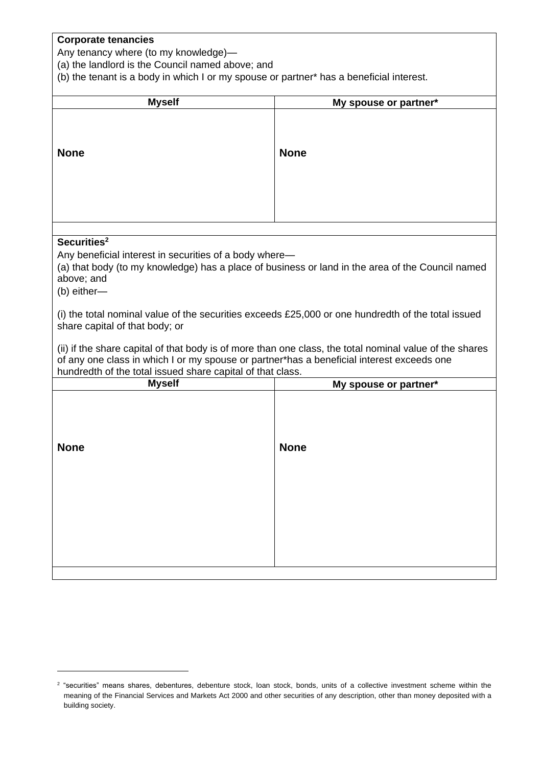## **Corporate tenancies**

Any tenancy where (to my knowledge)—

(a) the landlord is the Council named above; and

(b) the tenant is a body in which I or my spouse or partner\* has a beneficial interest.

| My spouse or partner*                                                                                                                                                                                                                                              |  |  |
|--------------------------------------------------------------------------------------------------------------------------------------------------------------------------------------------------------------------------------------------------------------------|--|--|
| <b>None</b>                                                                                                                                                                                                                                                        |  |  |
|                                                                                                                                                                                                                                                                    |  |  |
|                                                                                                                                                                                                                                                                    |  |  |
| Securities <sup>2</sup><br>Any beneficial interest in securities of a body where-<br>(a) that body (to my knowledge) has a place of business or land in the area of the Council named<br>above; and<br>(b) either-                                                 |  |  |
| (i) the total nominal value of the securities exceeds £25,000 or one hundredth of the total issued<br>share capital of that body; or                                                                                                                               |  |  |
| (ii) if the share capital of that body is of more than one class, the total nominal value of the shares<br>of any one class in which I or my spouse or partner*has a beneficial interest exceeds one<br>hundredth of the total issued share capital of that class. |  |  |
| My spouse or partner*                                                                                                                                                                                                                                              |  |  |
| <b>None</b>                                                                                                                                                                                                                                                        |  |  |
|                                                                                                                                                                                                                                                                    |  |  |

<sup>2</sup> "securities" means shares, debentures, debenture stock, loan stock, bonds, units of a collective investment scheme within the meaning of the Financial Services and Markets Act 2000 and other securities of any description, other than money deposited with a building society.